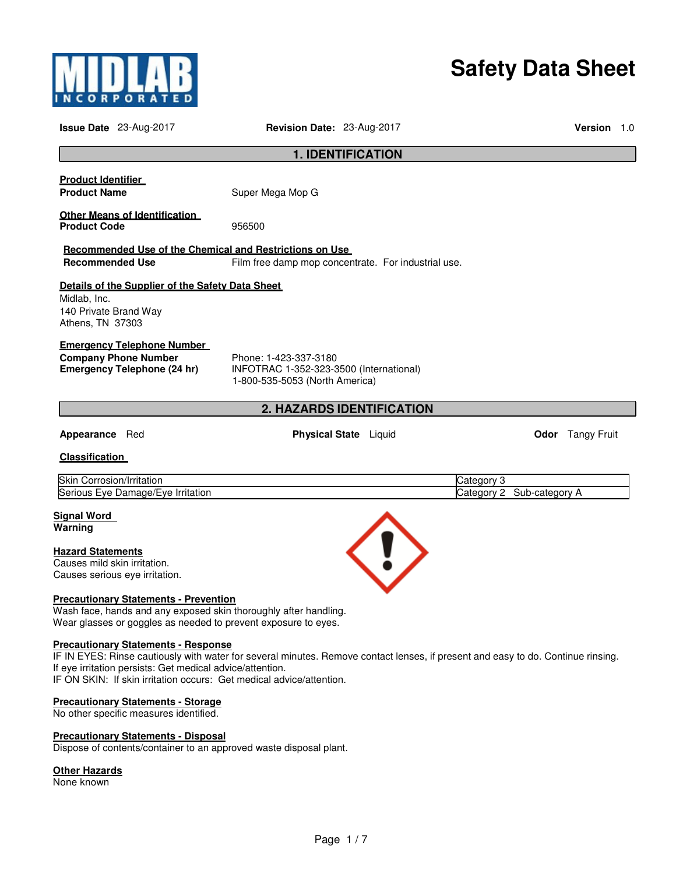

# **Safety Data Sheet**

| <b>Issue Date</b> 23-Aug-2017                                                                                                                                                                                                                                                                                       | Revision Date: 23-Aug-2017                                                                         |                                  |                                         | <b>Version</b> 1.0      |  |
|---------------------------------------------------------------------------------------------------------------------------------------------------------------------------------------------------------------------------------------------------------------------------------------------------------------------|----------------------------------------------------------------------------------------------------|----------------------------------|-----------------------------------------|-------------------------|--|
|                                                                                                                                                                                                                                                                                                                     |                                                                                                    | <b>1. IDENTIFICATION</b>         |                                         |                         |  |
| <b>Product Identifier</b><br><b>Product Name</b>                                                                                                                                                                                                                                                                    | Super Mega Mop G                                                                                   |                                  |                                         |                         |  |
| <b>Other Means of Identification</b><br><b>Product Code</b>                                                                                                                                                                                                                                                         | 956500                                                                                             |                                  |                                         |                         |  |
| Recommended Use of the Chemical and Restrictions on Use<br><b>Recommended Use</b>                                                                                                                                                                                                                                   | Film free damp mop concentrate. For industrial use.                                                |                                  |                                         |                         |  |
| Details of the Supplier of the Safety Data Sheet<br>Midlab, Inc.<br>140 Private Brand Way<br>Athens, TN 37303                                                                                                                                                                                                       |                                                                                                    |                                  |                                         |                         |  |
| <b>Emergency Telephone Number</b><br><b>Company Phone Number</b><br><b>Emergency Telephone (24 hr)</b>                                                                                                                                                                                                              | Phone: 1-423-337-3180<br>INFOTRAC 1-352-323-3500 (International)<br>1-800-535-5053 (North America) |                                  |                                         |                         |  |
|                                                                                                                                                                                                                                                                                                                     |                                                                                                    | <b>2. HAZARDS IDENTIFICATION</b> |                                         |                         |  |
| Appearance Red                                                                                                                                                                                                                                                                                                      |                                                                                                    | <b>Physical State</b> Liquid     |                                         | <b>Odor</b> Tangy Fruit |  |
| <b>Classification</b>                                                                                                                                                                                                                                                                                               |                                                                                                    |                                  |                                         |                         |  |
| Skin Corrosion/Irritation<br>Serious Eye Damage/Eye Irritation                                                                                                                                                                                                                                                      |                                                                                                    |                                  | Category 3<br>Category 2 Sub-category A |                         |  |
| <u>Signal Word</u><br>Warning                                                                                                                                                                                                                                                                                       |                                                                                                    |                                  |                                         |                         |  |
| <b>Hazard Statements</b><br>Causes mild skin irritation.<br>Causes serious eye irritation.                                                                                                                                                                                                                          |                                                                                                    |                                  |                                         |                         |  |
| <b>Precautionary Statements - Prevention</b><br>Wash face, hands and any exposed skin thoroughly after handling.<br>Wear glasses or goggles as needed to prevent exposure to eyes.                                                                                                                                  |                                                                                                    |                                  |                                         |                         |  |
| <b>Precautionary Statements - Response</b><br>IF IN EYES: Rinse cautiously with water for several minutes. Remove contact lenses, if present and easy to do. Continue rinsing.<br>If eye irritation persists: Get medical advice/attention.<br>IF ON SKIN: If skin irritation occurs: Get medical advice/attention. |                                                                                                    |                                  |                                         |                         |  |
| <b>Precautionary Statements - Storage</b><br>No other specific measures identified.                                                                                                                                                                                                                                 |                                                                                                    |                                  |                                         |                         |  |
| <b>Precautionary Statements - Disposal</b><br>Dispose of contents/container to an approved waste disposal plant.                                                                                                                                                                                                    |                                                                                                    |                                  |                                         |                         |  |

## **Other Hazards**

None known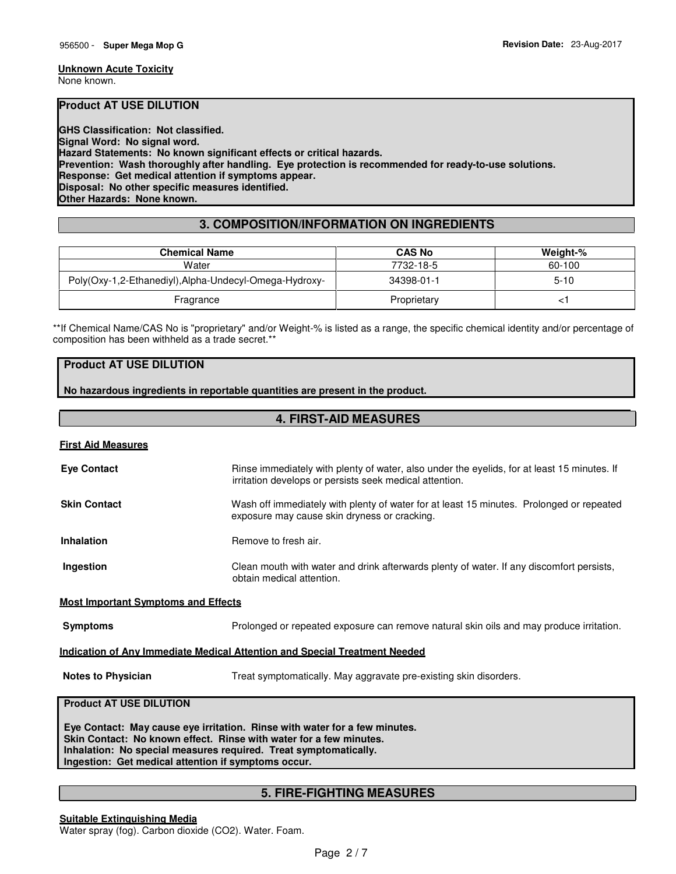#### **Unknown Acute Toxicity**

None known.

## **Product AT USE DILUTION**

**GHS Classification: Not classified. Signal Word: No signal word. Hazard Statements: No known significant effects or critical hazards. Prevention: Wash thoroughly after handling. Eye protection is recommended for ready-to-use solutions. Response: Get medical attention if symptoms appear. Disposal: No other specific measures identified. Other Hazards: None known.** 

## **3. COMPOSITION/INFORMATION ON INGREDIENTS**

| <b>Chemical Name</b>                                   | <b>CAS No</b> | Weight-% |
|--------------------------------------------------------|---------------|----------|
| Water                                                  | 7732-18-5     | 60-100   |
| Poly(Oxy-1,2-Ethanediyl), Alpha-Undecyl-Omega-Hydroxy- | 34398-01-1    | $5 - 10$ |
| Fragrance                                              | Proprietary   |          |

\*\*If Chemical Name/CAS No is "proprietary" and/or Weight-% is listed as a range, the specific chemical identity and/or percentage of composition has been withheld as a trade secret.\*\*

## **Product AT USE DILUTION**

**No hazardous ingredients in reportable quantities are present in the product.**

## **4. FIRST-AID MEASURES**

| <b>First Aid Measures</b>                                                                                                                                                                                                                                                   |                                                                                                                                                        |  |
|-----------------------------------------------------------------------------------------------------------------------------------------------------------------------------------------------------------------------------------------------------------------------------|--------------------------------------------------------------------------------------------------------------------------------------------------------|--|
| <b>Eye Contact</b>                                                                                                                                                                                                                                                          | Rinse immediately with plenty of water, also under the eyelids, for at least 15 minutes. If<br>irritation develops or persists seek medical attention. |  |
| <b>Skin Contact</b>                                                                                                                                                                                                                                                         | Wash off immediately with plenty of water for at least 15 minutes. Prolonged or repeated<br>exposure may cause skin dryness or cracking.               |  |
| <b>Inhalation</b>                                                                                                                                                                                                                                                           | Remove to fresh air.                                                                                                                                   |  |
| Ingestion                                                                                                                                                                                                                                                                   | Clean mouth with water and drink afterwards plenty of water. If any discomfort persists,<br>obtain medical attention.                                  |  |
| <b>Most Important Symptoms and Effects</b>                                                                                                                                                                                                                                  |                                                                                                                                                        |  |
| <b>Symptoms</b>                                                                                                                                                                                                                                                             | Prolonged or repeated exposure can remove natural skin oils and may produce irritation.                                                                |  |
|                                                                                                                                                                                                                                                                             | <b>Indication of Any Immediate Medical Attention and Special Treatment Needed</b>                                                                      |  |
| <b>Notes to Physician</b>                                                                                                                                                                                                                                                   | Treat symptomatically. May aggravate pre-existing skin disorders.                                                                                      |  |
| <b>Product AT USE DILUTION</b>                                                                                                                                                                                                                                              |                                                                                                                                                        |  |
| Eye Contact: May cause eye irritation. Rinse with water for a few minutes.<br>Skin Contact: No known effect. Rinse with water for a few minutes.<br>Inhalation: No special measures required. Treat symptomatically.<br>Ingestion: Get medical attention if symptoms occur. |                                                                                                                                                        |  |
|                                                                                                                                                                                                                                                                             |                                                                                                                                                        |  |

## **5. FIRE-FIGHTING MEASURES**

**Suitable Extinguishing Media** Water spray (fog). Carbon dioxide (CO2). Water. Foam.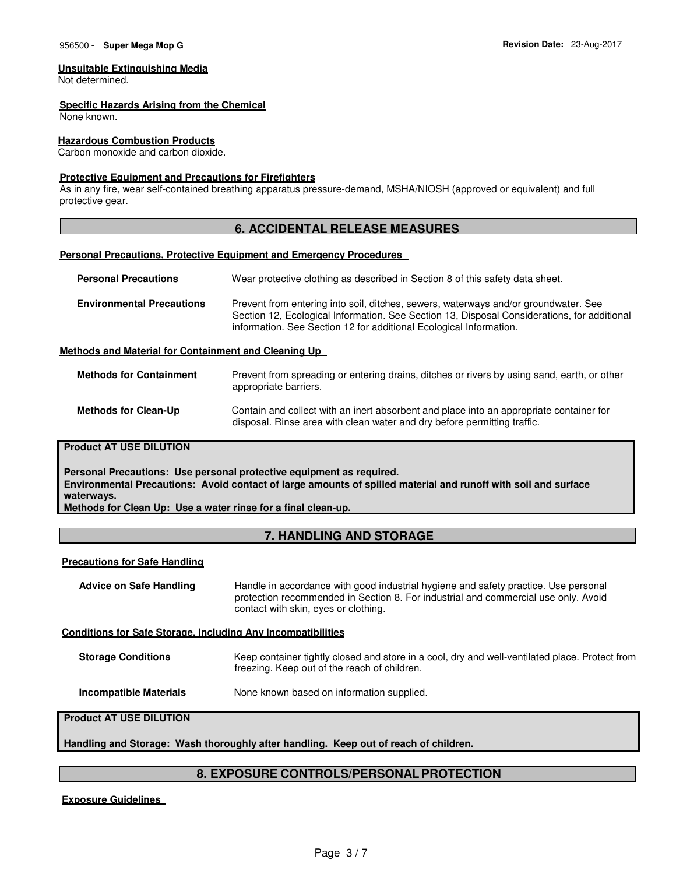## **Unsuitable Extinguishing Media**

Not determined.

#### **Specific Hazards Arising from the Chemical**

None known.

## **Hazardous Combustion Products**

Carbon monoxide and carbon dioxide.

### **Protective Equipment and Precautions for Firefighters**

As in any fire, wear self-contained breathing apparatus pressure-demand, MSHA/NIOSH (approved or equivalent) and full protective gear.

## **6. ACCIDENTAL RELEASE MEASURES**

#### **Personal Precautions, Protective Equipment and Emergency Procedures**

| <b>Personal Precautions</b>                          | Wear protective clothing as described in Section 8 of this safety data sheet.                                                                                                                                                                            |
|------------------------------------------------------|----------------------------------------------------------------------------------------------------------------------------------------------------------------------------------------------------------------------------------------------------------|
| <b>Environmental Precautions</b>                     | Prevent from entering into soil, ditches, sewers, waterways and/or groundwater. See<br>Section 12, Ecological Information. See Section 13, Disposal Considerations, for additional<br>information. See Section 12 for additional Ecological Information. |
| Methods and Material for Containment and Cleaning Up |                                                                                                                                                                                                                                                          |

| <b>Methods for Containment</b> | Prevent from spreading or entering drains, ditches or rivers by using sand, earth, or other<br>appropriate barriers. |
|--------------------------------|----------------------------------------------------------------------------------------------------------------------|
|                                |                                                                                                                      |

## **Methods for Clean-Up** Contain and collect with an inert absorbent and place into an appropriate container for disposal. Rinse area with clean water and dry before permitting traffic.

## **Product AT USE DILUTION**

**Personal Precautions: Use personal protective equipment as required. Environmental Precautions: Avoid contact of large amounts of spilled material and runoff with soil and surface waterways. Methods for Clean Up: Use a water rinse for a final clean-up.**

## **7. HANDLING AND STORAGE**

#### **Precautions for Safe Handling**

| <b>Advice on Safe Handling</b> | Handle in accordance with good industrial hygiene and safety practice. Use personal<br>protection recommended in Section 8. For industrial and commercial use only. Avoid<br>contact with skin, eyes or clothing. |
|--------------------------------|-------------------------------------------------------------------------------------------------------------------------------------------------------------------------------------------------------------------|
|                                |                                                                                                                                                                                                                   |

#### **Conditions for Safe Storage, Including Any Incompatibilities**

| <b>Storage Conditions</b> | Keep container tightly closed and store in a cool, dry and well-ventilated place. Protect from |
|---------------------------|------------------------------------------------------------------------------------------------|
|                           | freezing. Keep out of the reach of children.                                                   |

**Incompatible Materials None known based on information supplied.** 

## **Product AT USE DILUTION**

**Handling and Storage: Wash thoroughly after handling. Keep out of reach of children.**

## **8. EXPOSURE CONTROLS/PERSONAL PROTECTION**

**Exposure Guidelines**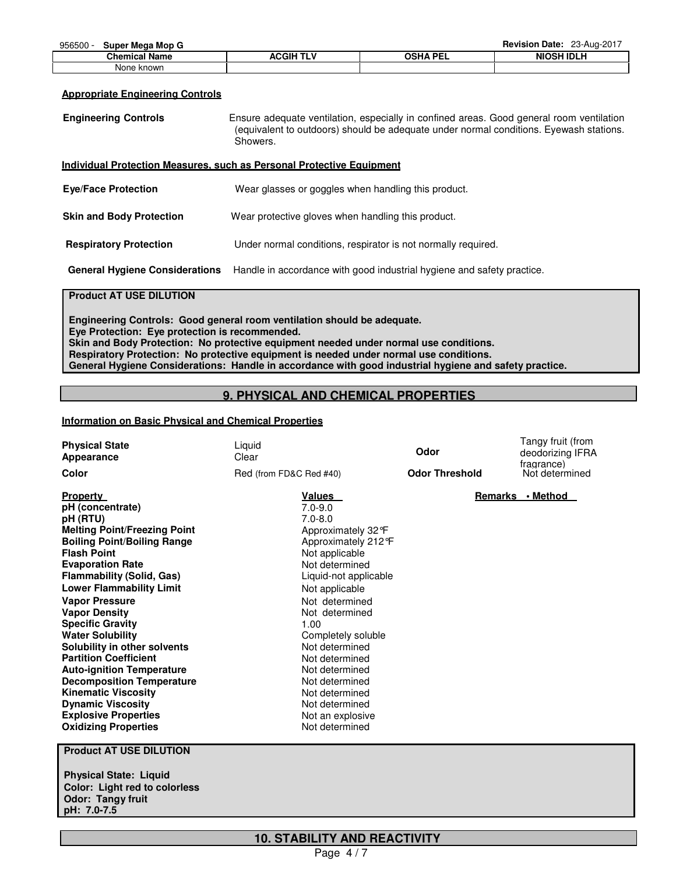| ວວບວບບ<br><b>OUNCI MICAG MON Q</b> |                  |          | 11011011111011011<br>$-0.109 - 0.1$ |
|------------------------------------|------------------|----------|-------------------------------------|
| <b>Chemical Name</b>               | <b>ACGIH TLV</b> | OSHA PEI | <b>NIOSH IDLH</b>                   |
| None known                         |                  |          |                                     |

#### **Appropriate Engineering Controls**

| <b>Engineering Controls</b>           | Ensure adequate ventilation, especially in confined areas. Good general room ventilation<br>(equivalent to outdoors) should be adequate under normal conditions. Eyewash stations.<br>Showers. |
|---------------------------------------|------------------------------------------------------------------------------------------------------------------------------------------------------------------------------------------------|
|                                       | Individual Protection Measures, such as Personal Protective Equipment                                                                                                                          |
| <b>Eye/Face Protection</b>            | Wear glasses or goggles when handling this product.                                                                                                                                            |
| <b>Skin and Body Protection</b>       | Wear protective gloves when handling this product.                                                                                                                                             |
| <b>Respiratory Protection</b>         | Under normal conditions, respirator is not normally required.                                                                                                                                  |
| <b>General Hygiene Considerations</b> | Handle in accordance with good industrial hygiene and safety practice.                                                                                                                         |

## **Product AT USE DILUTION**

**Engineering Controls: Good general room ventilation should be adequate. Eye Protection: Eye protection is recommended. Skin and Body Protection: No protective equipment needed under normal use conditions. Respiratory Protection: No protective equipment is needed under normal use conditions. General Hygiene Considerations: Handle in accordance with good industrial hygiene and safety practice.**

## **9. PHYSICAL AND CHEMICAL PROPERTIES**

## **Information on Basic Physical and Chemical Properties**

| <b>Physical State</b><br>Appearance<br>Color                                                                                                                                                                                                                                                                                                                                                                                                                                                                                                                                                                                | Liquid<br>Clear<br>Red (from FD&C Red #40)                                                                                                                                                                                                                                                                                                                                                   | Odor<br><b>Odor Threshold</b> | Tangy fruit (from<br>deodorizing IFRA<br>fragrance)<br>Not determined |
|-----------------------------------------------------------------------------------------------------------------------------------------------------------------------------------------------------------------------------------------------------------------------------------------------------------------------------------------------------------------------------------------------------------------------------------------------------------------------------------------------------------------------------------------------------------------------------------------------------------------------------|----------------------------------------------------------------------------------------------------------------------------------------------------------------------------------------------------------------------------------------------------------------------------------------------------------------------------------------------------------------------------------------------|-------------------------------|-----------------------------------------------------------------------|
| <b>Property</b><br>pH (concentrate)<br>pH (RTU)<br><b>Melting Point/Freezing Point</b><br><b>Boiling Point/Boiling Range</b><br><b>Flash Point</b><br><b>Evaporation Rate</b><br><b>Flammability (Solid, Gas)</b><br><b>Lower Flammability Limit</b><br><b>Vapor Pressure</b><br><b>Vapor Density</b><br><b>Specific Gravity</b><br><b>Water Solubility</b><br>Solubility in other solvents<br><b>Partition Coefficient</b><br><b>Auto-ignition Temperature</b><br><b>Decomposition Temperature</b><br><b>Kinematic Viscosity</b><br><b>Dynamic Viscosity</b><br><b>Explosive Properties</b><br><b>Oxidizing Properties</b> | <u>Values</u><br>$7.0 - 9.0$<br>$7.0 - 8.0$<br>Approximately 32°F<br>Approximately 212 °F<br>Not applicable<br>Not determined<br>Liquid-not applicable<br>Not applicable<br>Not determined<br>Not determined<br>1.00<br>Completely soluble<br>Not determined<br>Not determined<br>Not determined<br>Not determined<br>Not determined<br>Not determined<br>Not an explosive<br>Not determined |                               | Remarks • Method                                                      |
| <b>Product AT USE DILUTION</b>                                                                                                                                                                                                                                                                                                                                                                                                                                                                                                                                                                                              |                                                                                                                                                                                                                                                                                                                                                                                              |                               |                                                                       |

**Physical State: Liquid Color: Light red to colorless Odor: Tangy fruit pH: 7.0-7.5**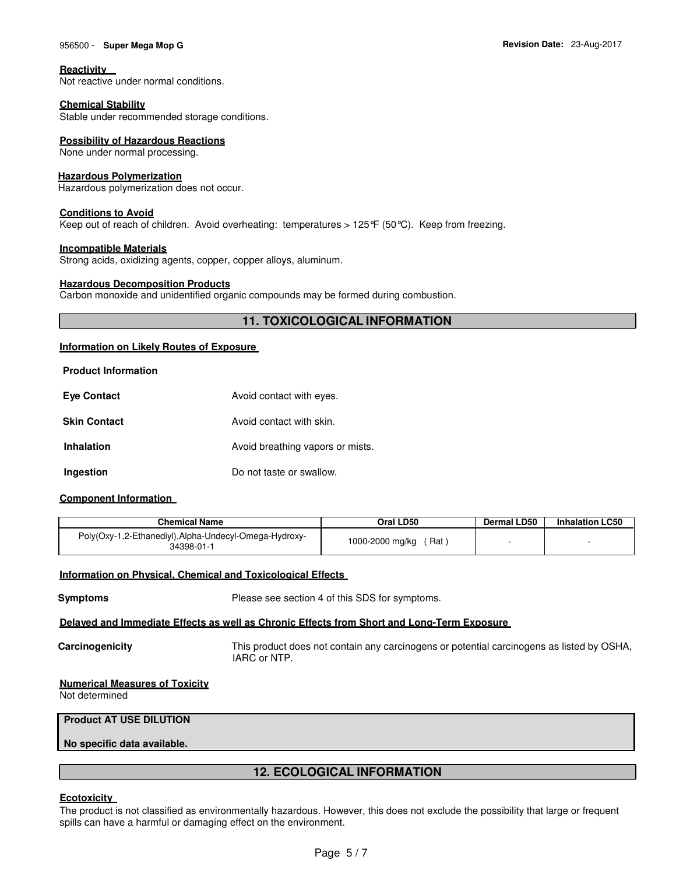## 956500 - **Super Mega Mop G Revision Date:** 23-Aug-2017

#### **Reactivity**

Not reactive under normal conditions.

## **Chemical Stability**

Stable under recommended storage conditions.

## **Possibility of Hazardous Reactions**

None under normal processing.

## **Hazardous Polymerization**

Hazardous polymerization does not occur.

#### **Conditions to Avoid**

Keep out of reach of children. Avoid overheating: temperatures > 125 $\mathcal{F}$  (50 $\mathcal{C}$ ). Keep from freezing.

#### **Incompatible Materials**

Strong acids, oxidizing agents, copper, copper alloys, aluminum.

#### **Hazardous Decomposition Products**

Carbon monoxide and unidentified organic compounds may be formed during combustion.

## **11. TOXICOLOGICAL INFORMATION**

## **Information on Likely Routes of Exposure**

| <b>Eye Contact</b>  | Avoid contact with eyes.         |
|---------------------|----------------------------------|
| <b>Skin Contact</b> | Avoid contact with skin.         |
| <b>Inhalation</b>   | Avoid breathing vapors or mists. |
| Ingestion           | Do not taste or swallow.         |

## **Component Information**

| <b>Chemical Name</b>                                                 | Oral LD50              | Dermal LD50 | <b>Inhalation LC50</b> |
|----------------------------------------------------------------------|------------------------|-------------|------------------------|
| Poly(Oxy-1,2-Ethanediyl), Alpha-Undecyl-Omega-Hydroxy-<br>34398-01-1 | 1000-2000 mg/kg<br>Rat |             |                        |

## **Information on Physical, Chemical and Toxicological Effects**

**Symptoms** Please see section 4 of this SDS for symptoms.

## **Delayed and Immediate Effects as well as Chronic Effects from Short and Long-Term Exposure**

**Carcinogenicity** This product does not contain any carcinogens or potential carcinogens as listed by OSHA, IARC or NTP.

## **Numerical Measures of Toxicity**

Not determined

## **Product AT USE DILUTION**

**No specific data available.**

## **12. ECOLOGICAL INFORMATION**

## **Ecotoxicity**

The product is not classified as environmentally hazardous. However, this does not exclude the possibility that large or frequent spills can have a harmful or damaging effect on the environment.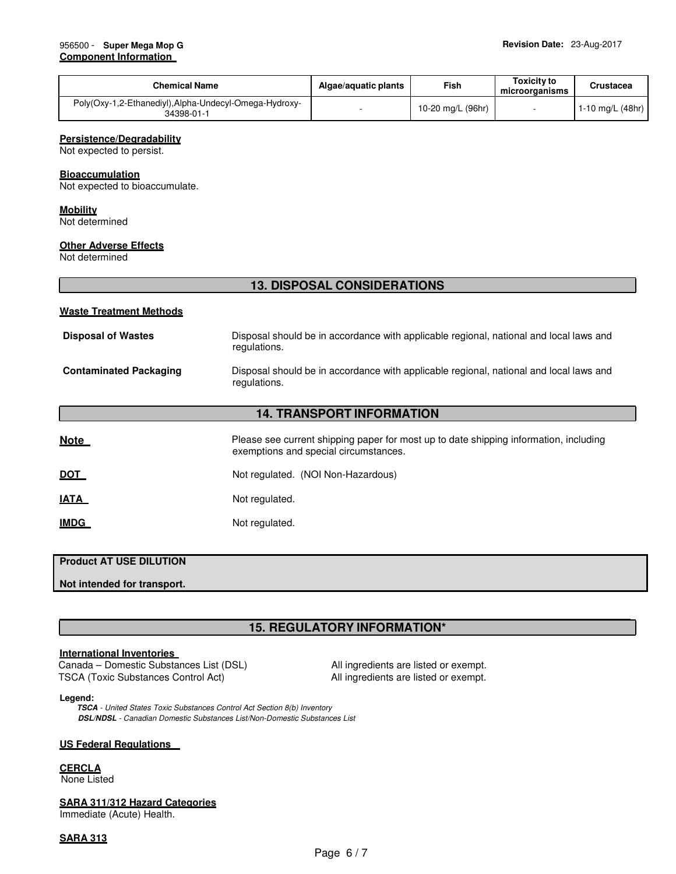| <b>Chemical Name</b>                                                 | Algae/aguatic plants | Fish              | Toxicity to<br>microorganisms | Crustacea          |
|----------------------------------------------------------------------|----------------------|-------------------|-------------------------------|--------------------|
| Poly(Oxy-1,2-Ethanediyl), Alpha-Undecyl-Omega-Hydroxy-<br>34398-01-1 |                      | 10-20 mg/L (96hr) |                               | 1-10 mg/L $(48hr)$ |

#### **Persistence/Degradability**

Not expected to persist.

#### **Bioaccumulation**

Not expected to bioaccumulate.

#### **Mobility**

Not determined

### **Other Adverse Effects**

Not determined

## **13. DISPOSAL CONSIDERATIONS**

#### **Waste Treatment Methods**

| <b>Disposal of Wastes</b>     | Disposal should be in accordance with applicable regional, national and local laws and<br>regulations. |
|-------------------------------|--------------------------------------------------------------------------------------------------------|
| <b>Contaminated Packaging</b> | Disposal should be in accordance with applicable regional, national and local laws and<br>regulations. |

## **14. TRANSPORT INFORMATION**

| <u>Note</u> | Please see current shipping paper for most up to date shipping information, including<br>exemptions and special circumstances. |
|-------------|--------------------------------------------------------------------------------------------------------------------------------|
| <u>DOT</u>  | Not regulated. (NOI Non-Hazardous)                                                                                             |
| <u>IATA</u> | Not regulated.                                                                                                                 |
| <u>IMDG</u> | Not regulated.                                                                                                                 |

## **Product AT USE DILUTION**

**Not intended for transport.**

## **15. REGULATORY INFORMATION\***

## **International Inventories**

 Canada – Domestic Substances List (DSL) All ingredients are listed or exempt. TSCA (Toxic Substances Control Act) All ingredients are listed or exempt.

#### **Legend:**

**TSCA** - United States Toxic Substances Control Act Section 8(b) Inventory **DSL/NDSL** - Canadian Domestic Substances List/Non-Domestic Substances List

## **US Federal Regulations**

**CERCLA** None Listed

## **SARA 311/312 Hazard Categories**

Immediate (Acute) Health.

## **SARA 313**